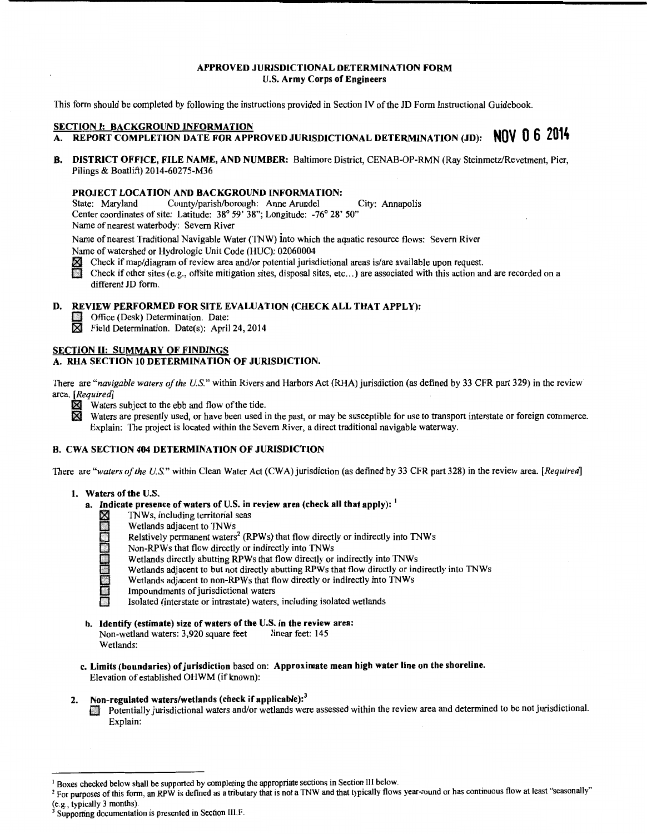#### APPROVED JURISDICTIONAL DETERMINATION FORM U.S. Army Corps of Engineers

This form should be completed by following the instructions provided in Section IV of the JD Form Instructional Guidebook.

- SECTION I: BACKGROUND INFORMATION A. REPORT COMPLETION DATE FOR APPROVED JURISDICTIONAL DETERMINATION (JD): **NOV 0 6 <sup>2014</sup>**
- B. DISTRICT OFFICE, FILE NAME, AND NUMBER: Baltimore District, CENAB-OP-RMN (Ray Steinmetz/Revetment, Pier, Pilings & Boatlift) 2014-60275-M36

## **PROJECT LOCATION AND BACKGROUND INFORMATION:**<br>State: Maryland County/parish/borough: Anne Arundel

County/parish/borough: Anne Arundel City: Annapolis Center coordinates of site: Latitude: 38° 59' 38"; Longitude: -76° 28' SO" Name of nearest waterbody: Severn River

Name of nearest Traditional Navigable Water (TNW) into which the aquatic resource flows: Severn River

- Check if map/diagram of review area and/or potential jurisdictional areas is/are available upon request.
- Name of watershed or Hydrologic Unit Code (HUC): 02060004<br> **X** Check if map/diagram of review area and/or potential juris<br>
Check if other sites (e.g., offsite mitigation sites, disposal s Check if other sites (e.g., offsite mitigation sites, disposal sites, etc...) are associated with this action and are recorded on a different JD form.

# D. REVIEW PERFORMED FOR SITE EVALUATION (CHECK ALL THAT APPLY):<br>
Office (Desk) Determination. Date:<br>  $\overline{M}$  Field Determination. Date(s): April 24, 2014

- Office (Desk) Determination. Date:
- Field Determination. Date(s): April 24, 2014

#### SECTION II: SUMMARY OF FINDINGS A. RHA SECTION 10 DETERMINATION OF JURISDICTION.

## There are *"navigable waters of the U.S."* within Rivers and Harbors Act (RHA) jurisdiction (as defined by 33 CFR part 329) in the review area. *[Required]*

- 
- $\boxtimes$  Waters subject to the ebb and flow of the tide.<br> $\boxtimes$  Waters are presently used, or have been used i Waters are presently used, or have been used in the past, or may be susceptible for use to transport interstate or foreign commerce. Explain: The project is located within the Severn River, a direct traditional navigable waterway.

#### B. CWA SECTION 404 DETERMINATION OF JURISDICTION

There are *"waters of the U.S."* within Clean Water Act (CWA) jurisdiction (as defined by 33 CFR part 328) in the review area. *[Required]* 

#### 1. Waters of the U.S.

- a. Indicate presence of waters of U.S. in review area (check all that apply):  $<sup>1</sup>$ </sup>
	- - Wetlands adjacent to TNWs
	- X TNWs, including territorial seas<br>
	Wetlands adjacent to TNWs<br>
	Relatively permanent waters<sup>2</sup> (R<br>
	Non-RPWs that flow directly or<br>
	Wetlands dijacent to but not directly<br>
	Wetlands adjacent to non-RPWs Relatively permanent waters<sup>2</sup> (RPWs) that flow directly or indirectly into TNWs
		- Non-RPWs that flow directly or indirectly into TNWs
		- Wetlands directly abutting RPWs that flow directly or indirectly into TNWs
		- Wetlands adjacent to but not directly abutting RPWs that flow directly or indirectly into TNWs
	- Wetlands adjacent to non-RPWs that flow directly or indirectly into TNWs<br>Impoundments of jurisdictional waters
		- Impoundments of jurisdictional waters
			- 0 Isolated (interstate or intrastate) waters, including isolated wetlands
- b. Identify (estimate) size of waters of the U.S. in the review area:<br>Non-wetland waters: 3,920 square feet linear feet: 145 Non-wetland waters: 3,920 square feet Wetlands:
- c. Limits (boundaries) of jurisdiction based on: Approximate mean high water line on the shoreline. Elevation of established OHWM (if known):

### 2. Non-regulated waters/wetlands (check if applicable):<sup>3</sup>

EJ Potentially jurisdictional waters and/or wetlands were assessed within the review area and determined to be not jurisdictional. Explain:

<sup>&</sup>lt;sup>1</sup> Boxes checked below shall be supported by completing the appropriate sections in Section III below.<br><sup>2</sup> For purposes of this form, an RPW is defined as a tributary that is not a TNW and that typically flows year-round

<sup>(</sup>e.g., typically 3 months).  $3$  Supporting documentation is presented in Section III.F.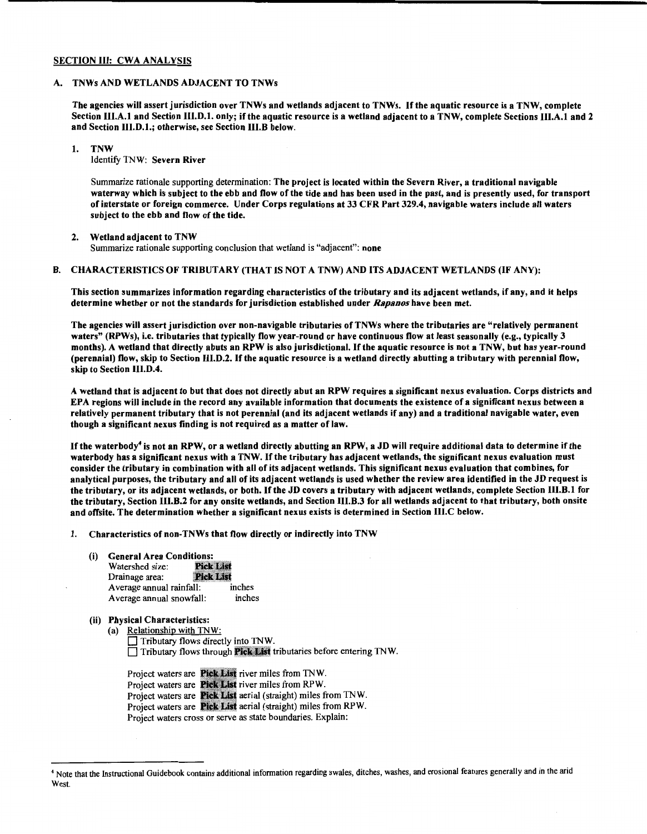#### SECTION III: CWA ANALYSIS

#### A. TNWs AND WETLANDS ADJACENT TO TNWs

The agencies will assert jurisdiction over TNWs and wetlands adjacent to TNWs. If the aquatic resource is a TNW, complete Section III.A.l and Section III.D.l. only; if the aquatic resource is a wetland adjacent to a TNW, complete Sections III.A.l and 2 and Section III.D.l.; otherwise, see Section III.B below.

#### 1. TNW

Identify TNW: Severn River

Summarize rationale supporting determination: The project is located within the Severn River, a traditional navigable waterway which is subject to the ebb and flow of the tide and has been used in the past, and is presently used, for transport of interstate or foreign commerce. Under Corps regulations at 33 CFR Part 329.4, navigable waters include all waters subject to the ebb and flow of the tide.

#### 2. Wetland adjacent to TNW

Summarize rationale supporting conclusion that wetland is "adjacent": none

#### B. CHARACTERISTICS OF TRIBUTARY (THAT IS NOT A TNW) AND ITS ADJACENT WETLANDS (IF ANY):

This section summarizes information regarding characteristics of the tributary and its adjacent wetlands, if any, and it helps determine whether or not the standards for jurisdiction established under *Rapanos* have been met.

The agencies will assert jurisdiction over non-navigable tributaries of TNWs where the tributaries are "relatively permanent waters" (RPWs), i.e. tributaries that typically flow year-round or have continuous flow at least seasonally (e.g., typically 3 months). A wetland that directly abuts an RPW is also jurisdictional. If the aquatic resource is not a TNW, but has year-round (perennial) flow, skip to Section III.D.2. Ifthe aquatic resource is a wetland directly abutting a tributary with perennial flow, skip to Section III.D.4.

A wetland that is adjacent to but that does not directly abut an RPW requires a significant nexus evaluation. Corps districts and EPA regions will include in the record any available information that documents the existence of a significant nexus between a relatively permanent tributary that is not perennial (and its adjacent wetlands if any) and a traditional navigable water, even though a significant nexus finding is not required as a matter of law.

If the waterbody<sup>4</sup> is not an RPW, or a wetland directly abutting an RPW, a JD will require additional data to determine if the waterbody bas a significant nexus with a TNW. If the tributary has adjacent wetlands, the significant nexus evaluation must consider the tributary in combination with all of its adjacent wetlands. This significant nexus evaluation that combines, for analytical purposes, the tributary and all of its adjacent wetlands is used whether the review area identified in the JD request is the tributary, or its adjacent wetlands, or both. If the JD covers a tributary with adjacent wetlands, complete Section III.B.l for the tributary, Section III.B.2 for any onsite wetlands, and Section III.B.3 for all wetlands adjacent to that tributary, both onsite and offsite. The determination whether a significant nexus exists is determined in Section III.C below.

#### 1. Characteristics of non-TNWs that flow directly or indirectly into TNW

(i) General Area Conditions:<br>Watershed size: Pick List Watershed size: Drainage area: **Pick List** Average annual rainfall: inches Average annual snowfall: inches

#### (ii) Physical Characteristics:

- (a) Relationship with TNW:
	- Tributary flows directly into TNW. □ Tributary flows through Pick List tributaries before entering TNW.

Project waters are Pick List river miles from TNW. Project waters are Pick List river miles from RPW. Project waters are Pick List aerial (straight) miles from TNW. Project waters are **Pick List** aerial (straight) miles from RPW. Project waters cross or serve as state boundaries. Explain:

<sup>&</sup>lt;sup>4</sup> Note that the Instructional Guidebook contains additional information regarding swales, ditches, washes, and erosional features generally and in the arid West.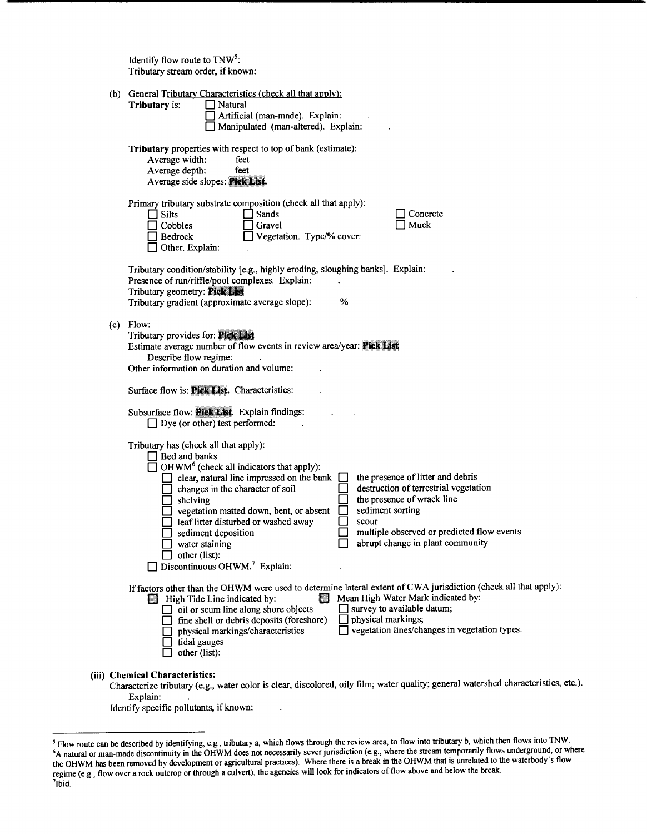Identify flow route to  $TW<sup>5</sup>$ : Tributary stream order, if known:

|  | (b) General Tributary Characteristics (check all that apply):<br>Tributary is:<br>Natural<br>Artificial (man-made). Explain:<br>Manipulated (man-altered). Explain:                                                                                                                                                                                                                                                                                                                                                                                                                                                                                                        |
|--|----------------------------------------------------------------------------------------------------------------------------------------------------------------------------------------------------------------------------------------------------------------------------------------------------------------------------------------------------------------------------------------------------------------------------------------------------------------------------------------------------------------------------------------------------------------------------------------------------------------------------------------------------------------------------|
|  | Tributary properties with respect to top of bank (estimate):<br>Average width:<br>feet<br>Average depth:<br>feet<br>Average side slopes: Pick List.                                                                                                                                                                                                                                                                                                                                                                                                                                                                                                                        |
|  | Primary tributary substrate composition (check all that apply):<br>$\Box$ Silts<br>Sands<br>Concrete<br>Muck<br>Cobbles<br>Gravel<br>Vegetation. Type/% cover:<br>Bedrock<br>$\Box$ Other. Explain:                                                                                                                                                                                                                                                                                                                                                                                                                                                                        |
|  | Tributary condition/stability [e.g., highly eroding, sloughing banks]. Explain:<br>Presence of run/riffle/pool complexes. Explain:<br>Tributary geometry: Pick List<br>$\frac{9}{6}$<br>Tributary gradient (approximate average slope):                                                                                                                                                                                                                                                                                                                                                                                                                                    |
|  | $(c)$ Flow:<br>Tributary provides for: Pick List<br>Estimate average number of flow events in review area/year: Pick List<br>Describe flow regime:<br>Other information on duration and volume:                                                                                                                                                                                                                                                                                                                                                                                                                                                                            |
|  | Surface flow is: Pick List. Characteristics:<br>Subsurface flow: Pick List. Explain findings:<br>$\Box$ Dye (or other) test performed:                                                                                                                                                                                                                                                                                                                                                                                                                                                                                                                                     |
|  | Tributary has (check all that apply):<br>$\Box$ Bed and banks<br>$\Box$ OHWM <sup>6</sup> (check all indicators that apply):<br>the presence of litter and debris<br>clear, natural line impressed on the bank<br>destruction of terrestrial vegetation<br>$\Box$ changes in the character of soil<br>the presence of wrack line<br>$\Box$ shelving<br>sediment sorting<br>vegetation matted down, bent, or absent<br>leaf litter disturbed or washed away<br>scour<br>multiple observed or predicted flow events<br>sediment deposition<br>abrupt change in plant community<br>water staining<br>$\Box$ other (list):<br>$\Box$ Discontinuous OHWM. <sup>7</sup> Explain: |
|  | If factors other than the OHWM were used to determine lateral extent of CWA jurisdiction (check all that apply):<br>Mean High Water Mark indicated by:<br>High Tide Line indicated by:<br>survey to available datum;<br>oil or scum line along shore objects<br>physical markings;<br>fine shell or debris deposits (foreshore)<br>vegetation lines/changes in vegetation types.<br>physical markings/characteristics<br>tidal gauges<br>other (list):                                                                                                                                                                                                                     |
|  | (iii) Chemical Characteristics:<br>Characterize tributary (e.g., water color is clear, discolored, oily film; water quality; general watershed characteristics, etc.).<br>Explain:                                                                                                                                                                                                                                                                                                                                                                                                                                                                                         |

Identify specific pollutants, if known:

 $\ddot{\phantom{a}}$ 

<sup>&</sup>lt;sup>5</sup> Flow route can be described by identifying, e.g., tributary a, which flows through the review area, to flow into tributary b, which then flows into TNW.<br><sup>6</sup>A natural or man-made discontinuity in the OHWM does not neces the OHWM has been removed by development or agricultural practices). Where there is a break in the OHWM that is unrelated to the waterbody's flow regime (e.g., flow over a rock outcrop or through a culvert), the agencies will look for indicators of flow above and below the break. 7 lbid.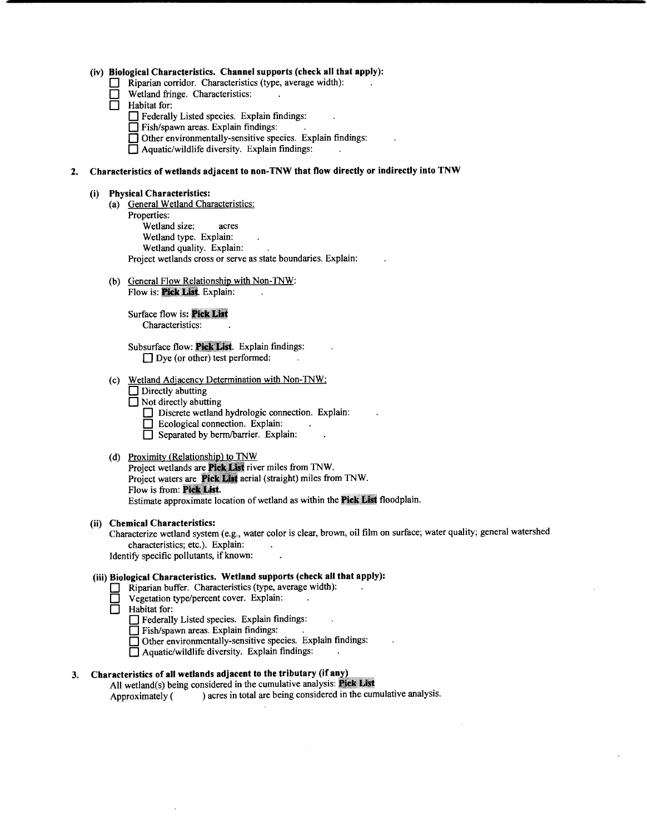#### (iv) Biological Characteristics. Channel supports (check all that apply):

- Riparian corridor. Characteristics (type, average width):
- **D** Wetland fringe. Characteristics:<br> **D** Habitat for:
- Habitat for:
	- D Federally Listed species. Explain findings:
	- $\Box$  Fish/spawn areas. Explain findings:
	- $\Box$  Other environmentally-sensitive species. Explain findings:
	- $\Box$  Aquatic/wildlife diversity. Explain findings:

### 2. Characteristics of wetlands adjacent to non-TNW that flow directly or indirectly into TNW

#### (i) Physical Characteristics:

- (a) General Wetland Characteristics: Properties: Wetland size: acres Wetland type. Explain: Wetland quality. Explain: Project wetlands cross or serve as state boundaries. Explain:
- (b) General Flow Relationship with Non-TNW: Flow is: **Pick List**. Explain:

Surface flow is: Pick List Characteristics:

Subsurface flow: Pick List. Explain findings:  $\Box$  Dye (or other) test performed:

- (c) Wetland Adjacency Determination with Non-TNW:
	- $\Box$  Directly abutting
	- $\Box$  Not directly abutting
		- Discrete wetland hydrologic connection. Explain:
		- D Ecological connection. Explain:
		- $\overline{\Box}$  Separated by berm/barrier. Explain:

### (d) Proximity (Relationship) to TNW

Project wetlands are **Pick List** river miles from TNW. Project waters are **Pick List** aerial (straight) miles from TNW. Flow is from: Pick List. Estimate approximate location of wetland as within the Pick List floodplain.

#### (ii) Chemical Characteristics:

Characterize wetland system (e.g., water color is clear, brown, oil film on surface; water quality; general watershed characteristics; etc.). Explain:

Identify specific pollutants, if known:

### (iii) Biological Characteristics. Wetland supports (check all that apply):

- D Riparian buffer. Characteristics (type, average width):
- Vegetation type/percent cover. Explain:<br>  $\Box$  Habitat for:

Habitat for:

- 0 Federally Listed species. Explain findings:
- 0 Fish/spawn areas. Explain findings:
- 0 Other environmentally-sensitive species. Explain findings:
- 0 Aquatic/wildlife diversity. Explain findings:

### 3. Characteristics of all wetlands adjacent to the tributary (if any)

All wetland(s) being considered in the cumulative analysis: Fick List Approximately ( ) acres in total are being considered in the cumulative analysis.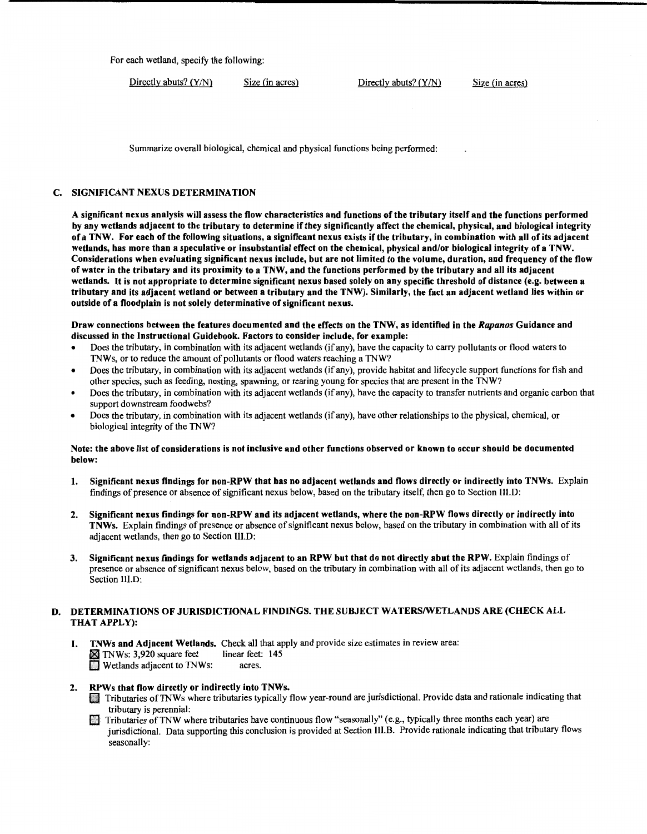For each wetland, specify the following:

 $Directly$  abuts? (Y/N) Size (in acres) Directly abuts? (Y/N) Size (in acres)

Summarize overall biological, chemical and physical functions being performed:

#### C. SIGNIFICANT NEXUS DETERMINATION

A significant nexus analysis will assess the flow characteristics and functions of the tributary itself and the functions performed by any wetlands adjacent to the tributary to determine if they significantly affect the chemical, physical, and biological integrity of a TNW. For each of the following situations, a significant nexus exists ifthe tributary, in combination with all of its adjacent wetlands, has more than a speculative or insubstantial effect on the chemical, physical and/or biological integrity of a TNW. Considerations when evaluating significant nexus include, but are not limited to the volume, duration, and frequency ofthe flow of water in the tributary and its proximity to a TNW, and the functions performed by the tributary and all its adjacent wetlands. It is not appropriate to determine significant nexus based solely on any specific threshold of distance (e.g. between a tributary and its adjacent wetland or between a tributary and the TNW). Similarly, the fact an adjacent wetland lies within or outside of a floodplain is not solely determinative of significant nexus.

#### Draw connections between the features documented and the effects on the TNW, as identified in the Rapanos Guidance and discussed in the Instructional Guidebook. Factors to consider include, for example:

- Does the tributary, in combination with its adjacent wetlands (if any), have the capacity to carry pollutants or flood waters to TNWs, or to reduce the amount of pollutants or flood waters reaching a TNW?
- Does the tributary, in combination with its adjacent wetlands (if any), provide habitat and lifecycle support functions for fish and other species, such as feeding, nesting, spawning, or rearing young for species that are present in the TNW?
- Does the tributary, in combination with its adjacent wetlands (if any), have the capacity to transfer nutrients and organic carbon that support downstream foodwebs?
- Does the tributary, in combination with its adjacent wetlands (if any), have other relationships to the physical, chemical, or biological integrity of the TNW?

#### Note: the above list of considerations is not inclusive and other functions observed or known to occur should be documented below:

- 1. Significant nexus findings for non-RPW that has no adjacent wetlands and flows directly or indirectly into TNWs. Explain findings of presence or absence of significant nexus below, based on the tributary itself, then go to Section Ill.D:
- 2. Significant nexus findings for non-RPW and its adjacent wetlands, where the non-RPW flows directly or indirectly into TNWs. Explain findings of presence or absence of significant nexus below, based on the tributary in combination with all of its adjacent wetlands, then go to Section III.D:
- 3. Significant nexus findings for wetlands adjacent to an RPW but that do not directly abut the RPW. Explain findings of presence or absence of significant nexus below, based on the tributary in combination with all of its adjacent wetlands, then go to Section III.D:

#### D. DETERMINATIONS OF JURISDICTIONAL FINDINGS. THE SUBJECT WATERS/WETLANDS ARE (CHECK ALL THAT APPLY):

1. TNWs and Adjacent Wetlands. Check all that apply and provide size estimates in review area:<br> **INWS:** 3.920 square feet linear feet: 145  $\blacksquare$  TNWs: 3,920 square feet linear feet<br> $\blacksquare$  Wetlands adjacent to TNWs: acres  $\blacksquare$  Wetlands adjacent to TNWs:

- 2. RPWs that flow directly or indirectly into TNWs.<br>Tributaries of TNWs where tributaries typically flow year-round are jurisdictional. Provide data and rationale indicating that tributary is perennial:
	- **Extract Tributaries of TNW where tributaries have continuous flow "seasonally" (e.g., typically three months each year) are** jurisdictional. Data supporting this conclusion is provided at Section III.B. Provide rationale indicating that tributary flows seasonally: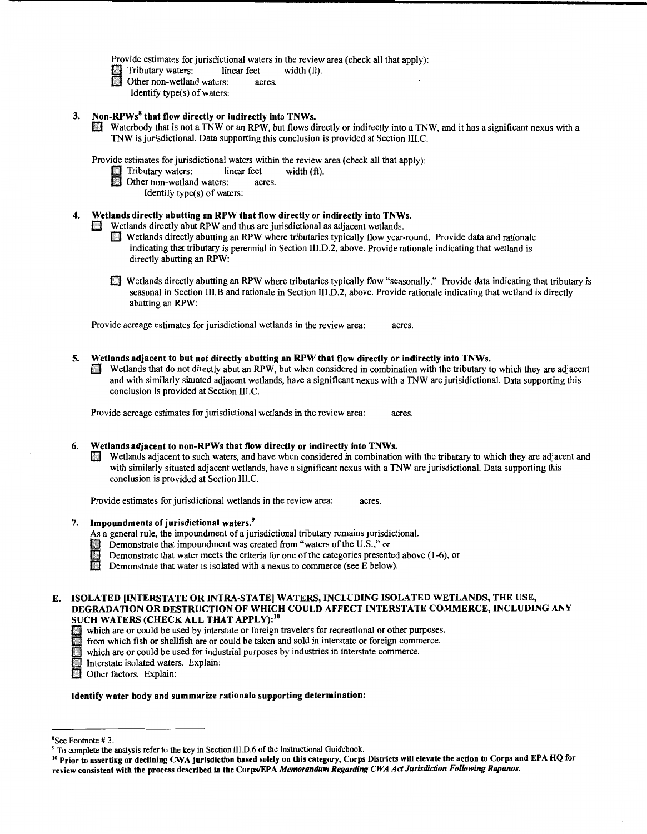Provide estimates for jurisdictional waters in the review area (check all that apply):

- Tributary waters: linear feet width (ft).
- Other non-wetland waters: acres. Identify type $(s)$  of waters:
- 3. Non-RPWs<sup>8</sup> that flow directly or indirectly into TNWs.
	- Waterbody that is not a TNW or an RPW, but flows directly or indirectly into a TNW, and it has a significant nexus with a TNW is jurisdictional. Data supporting this conclusion is provided at Section III. C.

Provide estimates for jurisdictional waters within the review area (check all that apply):<br>
Tributary waters: linear feet width (ft).

- Tributary waters: linear feet<br>
Other non-wetland waters: ac
	- Other non-wetland waters: acres.
		- Identify type(s) of waters:

#### 4. Wetlands directly abutting an RPW that flow directly or indirectly into TNWs.

 $\Box$  Wetlands directly abut RPW and thus are jurisdictional as adjacent wetlands.

- 0 Wetlands directly abutting an RPW where tributaries typically flow year-round. Provide data and rationale indicating that tributary is perennial in Section Ill.D.2, above. Provide rationale indicating that wetland is directly abutting an RPW:
- 0 Wetlands directly abutting an RPW where tributaries typically flow "seasonally." Provide data indicating that tributary is seasonal in Section III.B and rationale in Section III.D.2, above. Provide rationale indicating that wetland is directly abutting an RPW:

Provide acreage estimates for jurisdictional wetlands in the review area: acres.

- 5. Wetlands adjacent to but not directly abutting an RPW that flow directly or indirectly into TNWs.
	- 0 Wetlands that do not directly abut an RPW, but when considered in combination with the tributary to which they are adjacent and with similarly situated adjacent wetlands, have a significant nexus with a TNW are jurisidictional. Data supporting this conclusion is provided at Section III.C.

Provide acreage estimates for jurisdictional wetlands in the review area: acres.

#### 6. Wetlands adjacent to non-RPWs that flow directly or indirectly into TNWs.

IB Wetlands adjacent to such waters, and have when considered in combination with the tributary to which they are adjacent and with similarly situated adjacent wetlands, have a significant nexus with a TNW are jurisdictional. Data supporting this conclusion is provided at Section III.C.

Provide estimates for jurisdictional wetlands in the review area: acres.

#### 7. Impoundments of jurisdictional waters.<sup>9</sup>

- As a general rule, the impoundment of a jurisdictional tributary remains jurisdictional.<br>
Demonstrate that impoundment was created from "waters of the U.S.," or<br>
Demonstrate that water meets the criteria for one of the cat
	- Demonstrate that impoundment was created from "waters of the U.S.," or
	- Demonstrate that water meets the criteria for one of the categories presented above (1-6), or
	- Demonstrate that water is isolated with a nexus to commerce (see  $E$  below).

# ISOLATED (INTERSTATE OR INTRA-STATE) WATERS, INCLUDING ISOLATED WETLANDS, THE USE, DEGRADATION OR DESTRUCTION OF WHICH COULD AFFECT INTERSTATE COMMERCE, INCLUDING ANY SUCH WATERS (CHECK ALL THAT APPLY):<sup>10</sup><br>which are or could be used by interstate or foreign travelers for recreational or other purposes.<br>from which fish or shellfish are or could be taken and sold in interstate or foreig

- which are or could be used by interstate or foreign travelers for recreational or other purposes.<br>
from which fish or shellfish are or could be taken and sold in interstate or foreign commerce.<br>
which are or could be used from which fish or shellfish are or could be taken and sold in interstate or foreign commerce.
- which are or could be used for industrial purposes by industries in interstate commerce.
- Interstate isolated waters. Explain: Interstate isolated water<br>
Other factors. Explain:
- 

#### Identify water body and summarize rationale supporting determination:

<sup>&</sup>lt;sup>8</sup>See Footnote # 3.<br><sup>9</sup> To complete the analysis refer to the key in Section III.D.6 of the Instructional Guidebook.<br><sup>10</sup> Prior to asserting or declining CWA jurisdiction based solely on this category, Corps Districts wil review consistent with the process described in the Corps/EPA *Memorandum Regarding CWA Act Jurisdiction Following Rapanos.*